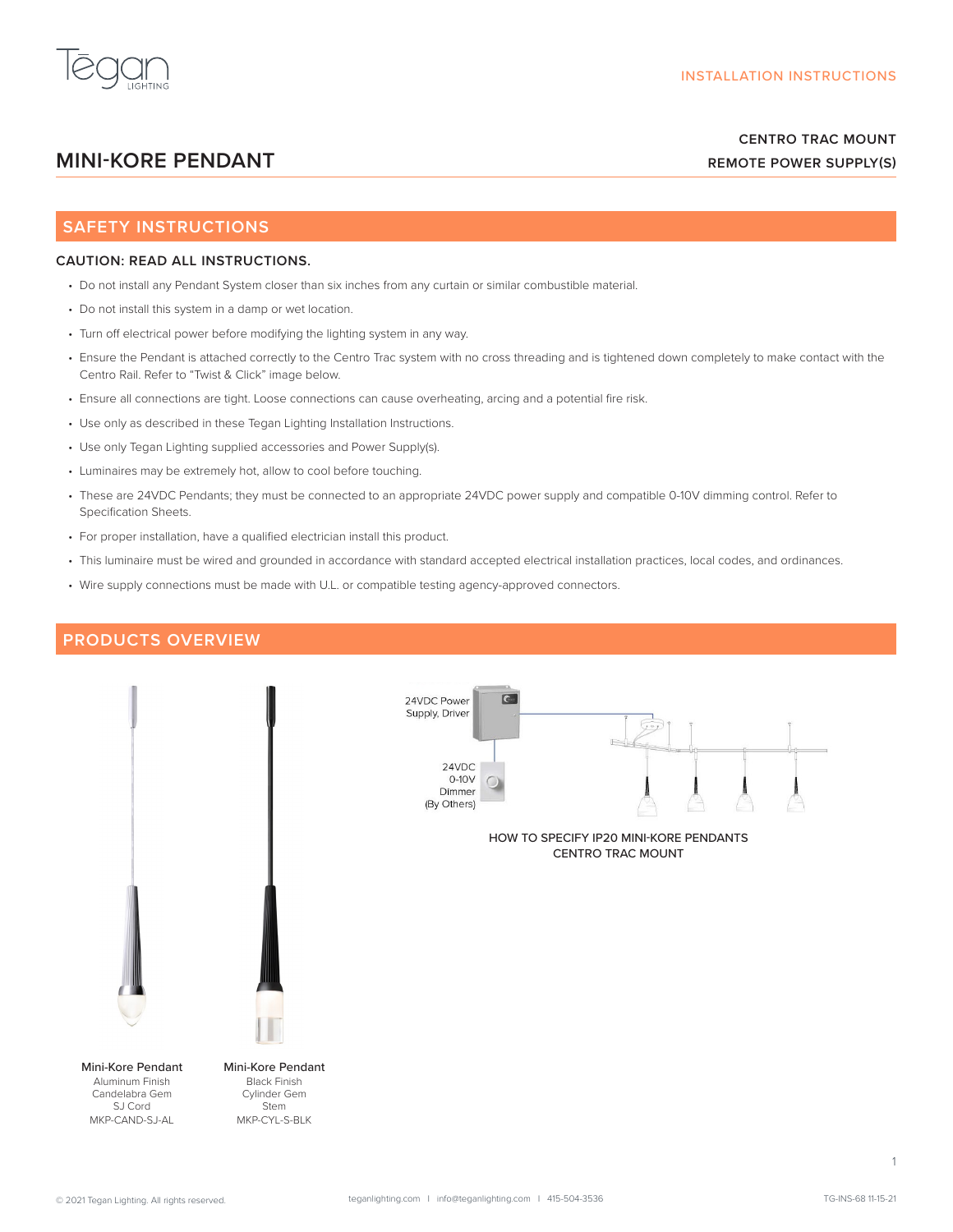

# **CENTRO TRAC MOUNT REMOTE POWER SUPPLY(S)**

# **MINI-KORE PENDANT**

## **SAFETY INSTRUCTIONS**

## **CAUTION: READ ALL INSTRUCTIONS.**

- Do not install any Pendant System closer than six inches from any curtain or similar combustible material.
- Do not install this system in a damp or wet location.
- Turn off electrical power before modifying the lighting system in any way.
- Ensure the Pendant is attached correctly to the Centro Trac system with no cross threading and is tightened down completely to make contact with the Centro Rail. Refer to "Twist & Click" image below.
- Ensure all connections are tight. Loose connections can cause overheating, arcing and a potential fire risk.
- Use only as described in these Tegan Lighting Installation Instructions.
- Use only Tegan Lighting supplied accessories and Power Supply(s).
- Luminaires may be extremely hot, allow to cool before touching.
- These are 24VDC Pendants; they must be connected to an appropriate 24VDC power supply and compatible 0-10V dimming control. Refer to Specification Sheets.
- For proper installation, have a qualified electrician install this product.
- This luminaire must be wired and grounded in accordance with standard accepted electrical installation practices, local codes, and ordinances.
- Wire supply connections must be made with U.L. or compatible testing agency-approved connectors.

## **PRODUCTS OVERVIEW**



1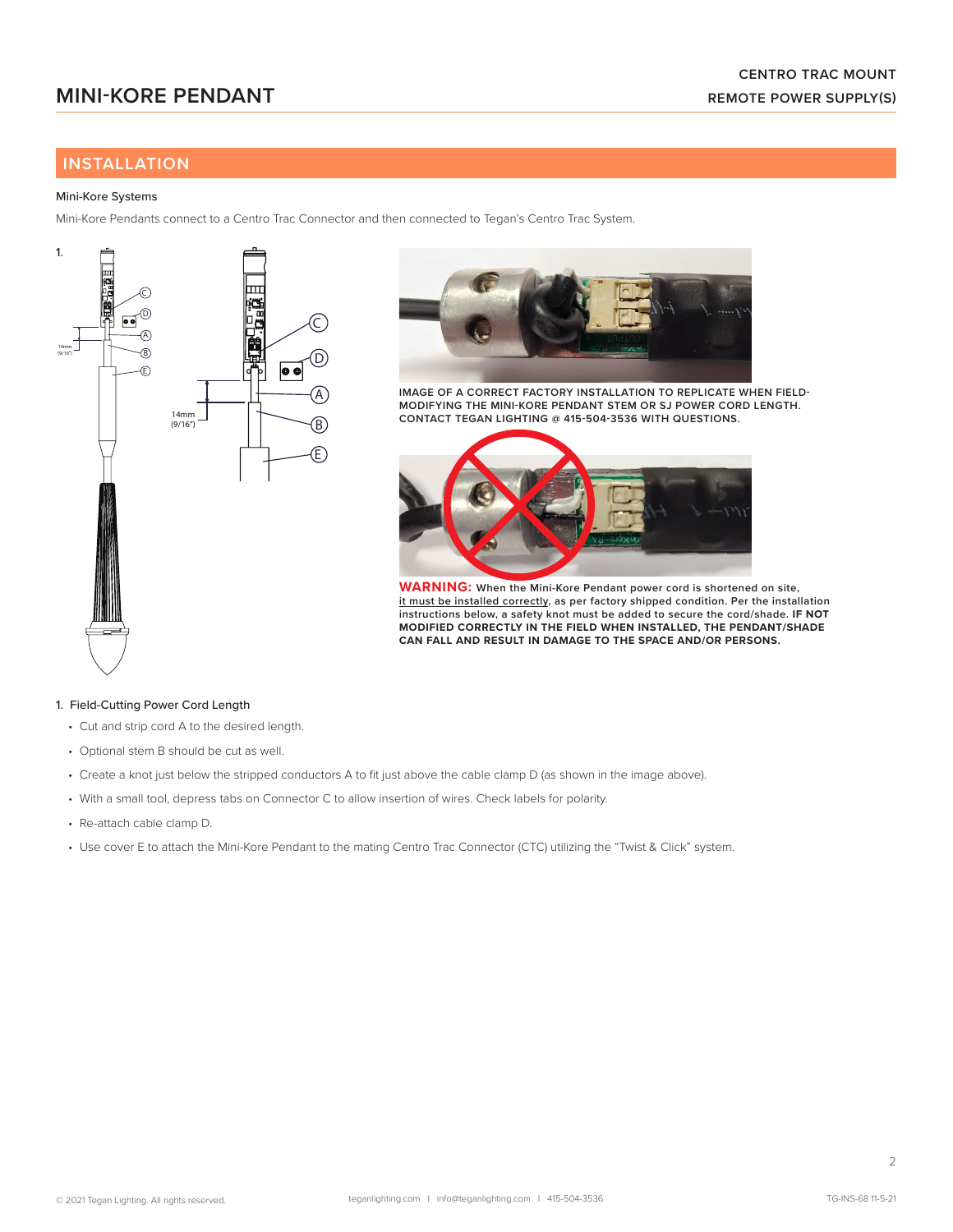# **INSTALLATION**

### Mini-Kore Systems

Mini-Kore Pendants connect to a Centro Trac Connector and then connected to Tegan's Centro Trac System.





**IMAGE OF A CORRECT FACTORY INSTALLATION TO REPLICATE WHEN FIELD-MODIFYING THE MINI-KORE PENDANT STEM OR SJ POWER CORD LENGTH. CONTACT TEGAN LIGHTING @ 415-504-3536 WITH QUESTIONS.**



**WARNING: When the Mini-Kore Pendant power cord is shortened on site, it must be installed correctly, as per factory shipped condition. Per the installation instructions below, a safety knot must be added to secure the cord/shade. IF NOT MODIFIED CORRECTLY IN THE FIELD WHEN INSTALLED, THE PENDANT/SHADE CAN FALL AND RESULT IN DAMAGE TO THE SPACE AND/OR PERSONS.** 

### 1. Field-Cutting Power Cord Length

- Cut and strip cord A to the desired length.
- Optional stem B should be cut as well.
- Create a knot just below the stripped conductors A to fit just above the cable clamp D (as shown in the image above).
- With a small tool, depress tabs on Connector C to allow insertion of wires. Check labels for polarity.
- Re-attach cable clamp D.
- Use cover E to attach the Mini-Kore Pendant to the mating Centro Trac Connector (CTC) utilizing the "Twist & Click" system.